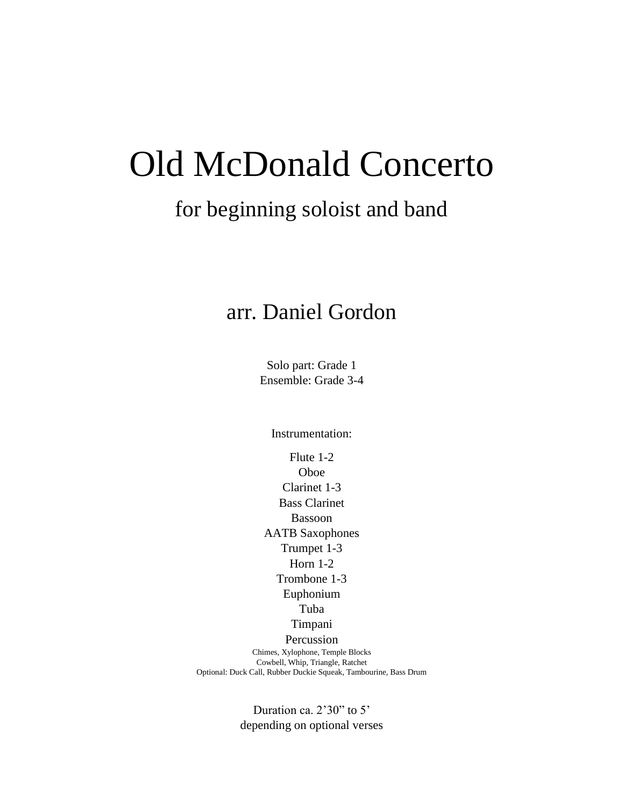# Old McDonald Concerto

### for beginning soloist and band

### arr. Daniel Gordon

Solo part: Grade 1 Ensemble: Grade 3-4

Instrumentation:

Flute 1-2 Oboe Clarinet 1-3 Bass Clarinet Bassoon AATB Saxophones Trumpet 1-3 Horn 1-2 Trombone 1-3 Euphonium Tuba Timpani Percussion Chimes, Xylophone, Temple Blocks Cowbell, Whip, Triangle, Ratchet Optional: Duck Call, Rubber Duckie Squeak, Tambourine, Bass Drum

> Duration ca. 2'30" to 5' depending on optional verses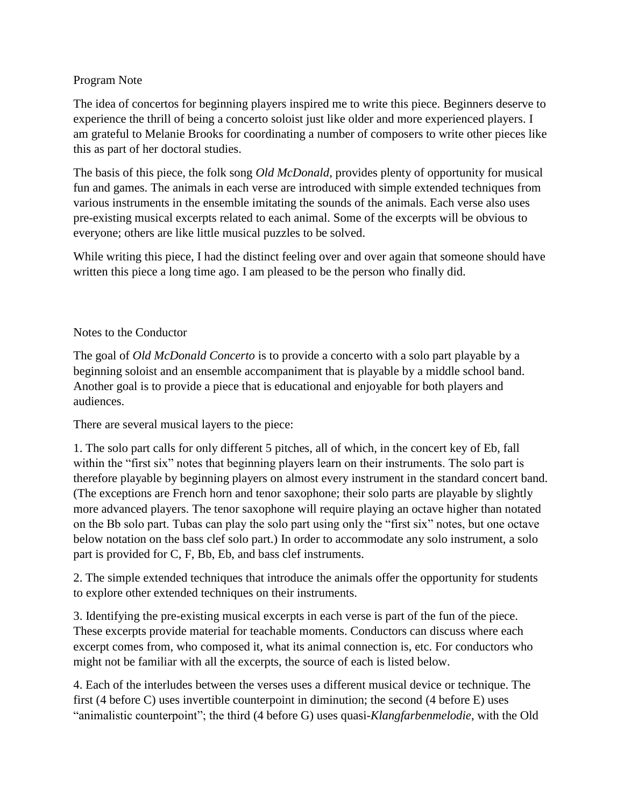#### Program Note

The idea of concertos for beginning players inspired me to write this piece. Beginners deserve to experience the thrill of being a concerto soloist just like older and more experienced players. I am grateful to Melanie Brooks for coordinating a number of composers to write other pieces like this as part of her doctoral studies.

The basis of this piece, the folk song *Old McDonald*, provides plenty of opportunity for musical fun and games. The animals in each verse are introduced with simple extended techniques from various instruments in the ensemble imitating the sounds of the animals. Each verse also uses pre-existing musical excerpts related to each animal. Some of the excerpts will be obvious to everyone; others are like little musical puzzles to be solved.

While writing this piece, I had the distinct feeling over and over again that someone should have written this piece a long time ago. I am pleased to be the person who finally did.

#### Notes to the Conductor

The goal of *Old McDonald Concerto* is to provide a concerto with a solo part playable by a beginning soloist and an ensemble accompaniment that is playable by a middle school band. Another goal is to provide a piece that is educational and enjoyable for both players and audiences.

There are several musical layers to the piece:

1. The solo part calls for only different 5 pitches, all of which, in the concert key of Eb, fall within the "first six" notes that beginning players learn on their instruments. The solo part is therefore playable by beginning players on almost every instrument in the standard concert band. (The exceptions are French horn and tenor saxophone; their solo parts are playable by slightly more advanced players. The tenor saxophone will require playing an octave higher than notated on the Bb solo part. Tubas can play the solo part using only the "first six" notes, but one octave below notation on the bass clef solo part.) In order to accommodate any solo instrument, a solo part is provided for C, F, Bb, Eb, and bass clef instruments.

2. The simple extended techniques that introduce the animals offer the opportunity for students to explore other extended techniques on their instruments.

3. Identifying the pre-existing musical excerpts in each verse is part of the fun of the piece. These excerpts provide material for teachable moments. Conductors can discuss where each excerpt comes from, who composed it, what its animal connection is, etc. For conductors who might not be familiar with all the excerpts, the source of each is listed below.

4. Each of the interludes between the verses uses a different musical device or technique. The first (4 before C) uses invertible counterpoint in diminution; the second (4 before E) uses "animalistic counterpoint"; the third (4 before G) uses quasi-*Klangfarbenmelodie*, with the Old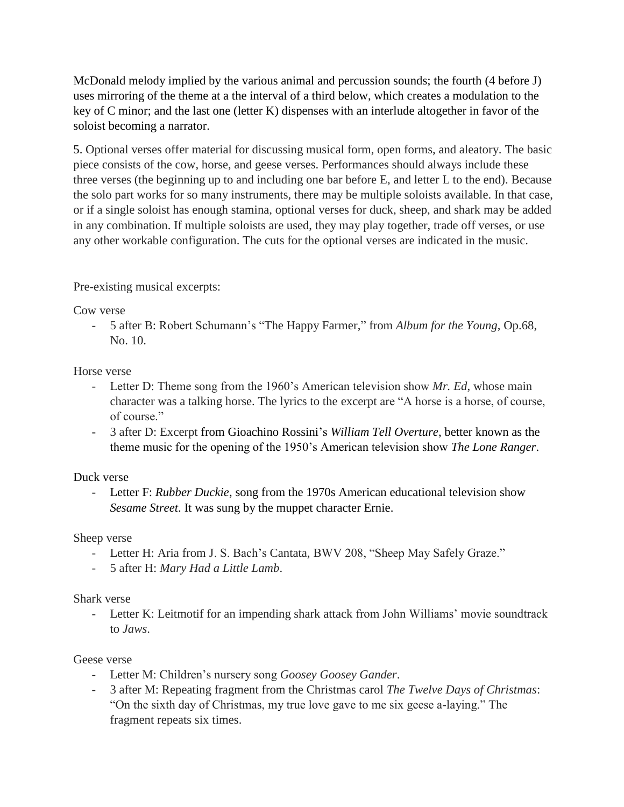McDonald melody implied by the various animal and percussion sounds; the fourth (4 before J) uses mirroring of the theme at a the interval of a third below, which creates a modulation to the key of C minor; and the last one (letter K) dispenses with an interlude altogether in favor of the soloist becoming a narrator.

5. Optional verses offer material for discussing musical form, open forms, and aleatory. The basic piece consists of the cow, horse, and geese verses. Performances should always include these three verses (the beginning up to and including one bar before E, and letter L to the end). Because the solo part works for so many instruments, there may be multiple soloists available. In that case, or if a single soloist has enough stamina, optional verses for duck, sheep, and shark may be added in any combination. If multiple soloists are used, they may play together, trade off verses, or use any other workable configuration. The cuts for the optional verses are indicated in the music.

#### Pre-existing musical excerpts:

Cow verse

- 5 after B: Robert Schumann's "The Happy Farmer," from *Album for the Young*, Op.68, No. 10.

Horse verse

- Letter D: Theme song from the 1960's American television show *Mr. Ed*, whose main character was a talking horse. The lyrics to the excerpt are "A horse is a horse, of course, of course."
- 3 after D: Excerpt from Gioachino Rossini's *William Tell Overture*, better known as the theme music for the opening of the 1950's American television show *The Lone Ranger*.

Duck verse

- Letter F: *Rubber Duckie*, song from the 1970s American educational television show *Sesame Street*. It was sung by the muppet character Ernie.

Sheep verse

- Letter H: Aria from J. S. Bach's Cantata, BWV 208, "Sheep May Safely Graze."
- 5 after H: *Mary Had a Little Lamb*.

Shark verse

- Letter K: Leitmotif for an impending shark attack from John Williams' movie soundtrack to *Jaws*.

Geese verse

- Letter M: Children's nursery song *Goosey Goosey Gander*.
- 3 after M: Repeating fragment from the Christmas carol *The Twelve Days of Christmas*: "On the sixth day of Christmas, my true love gave to me six geese a-laying." The fragment repeats six times.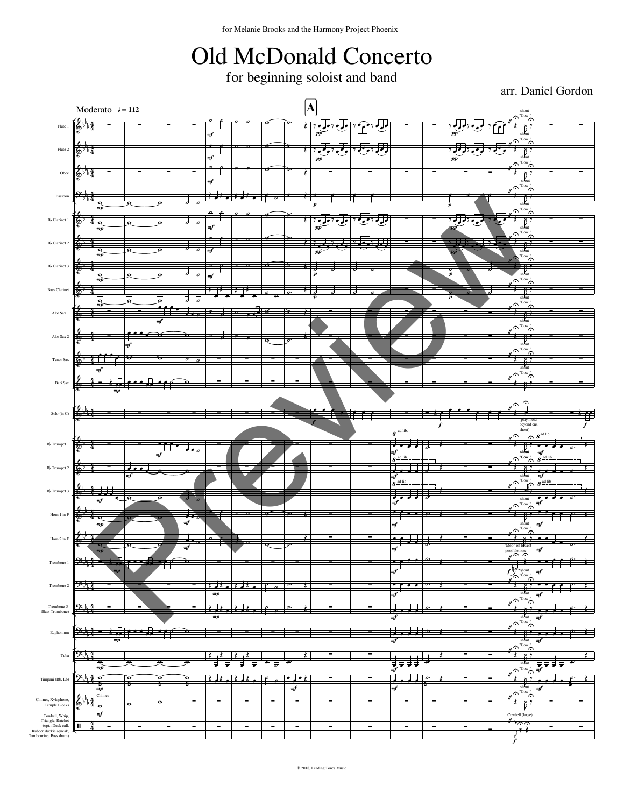## Old McDonald Concerto

for beginning soloist and band

arr. Daniel Gordon

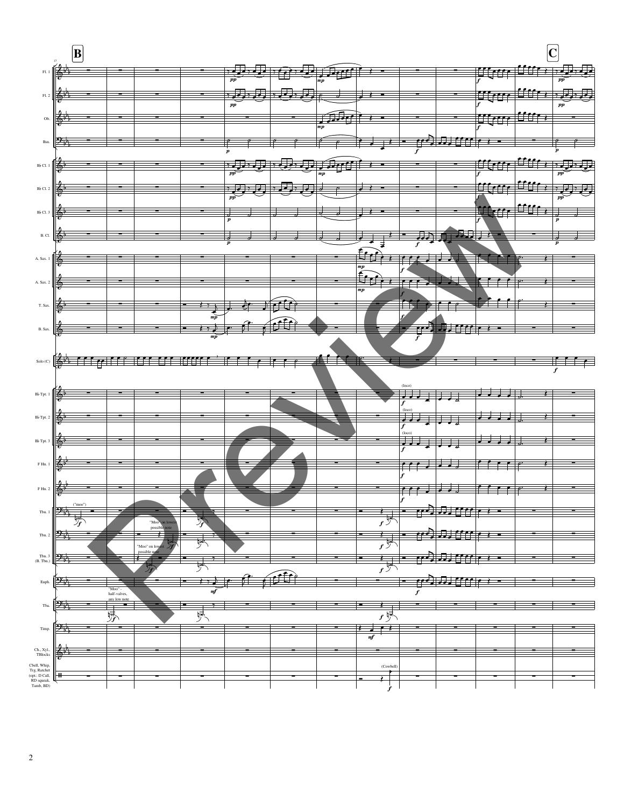

 $2 \left( \frac{1}{2} \right)$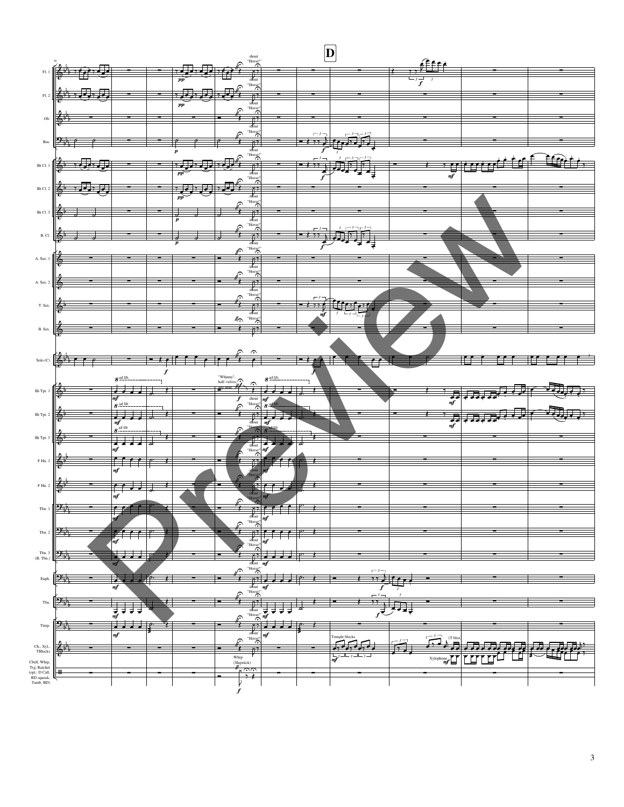

3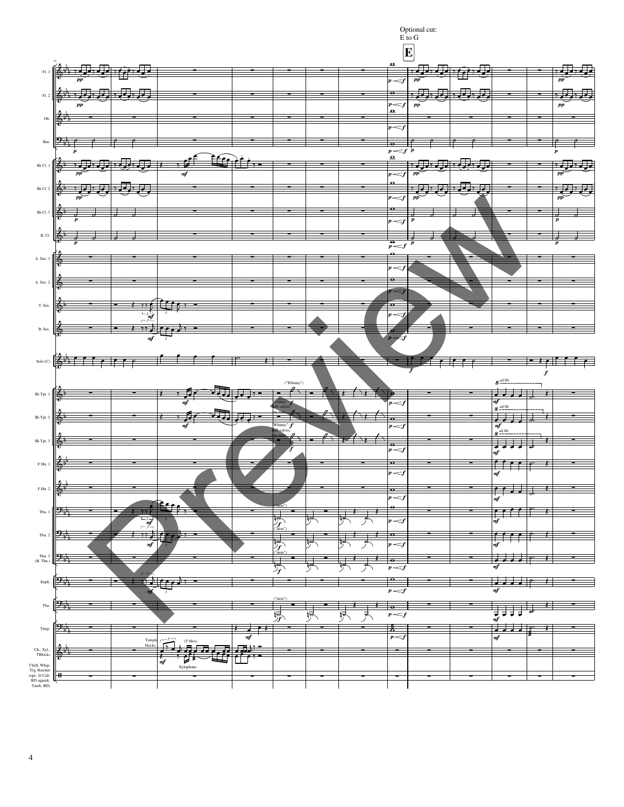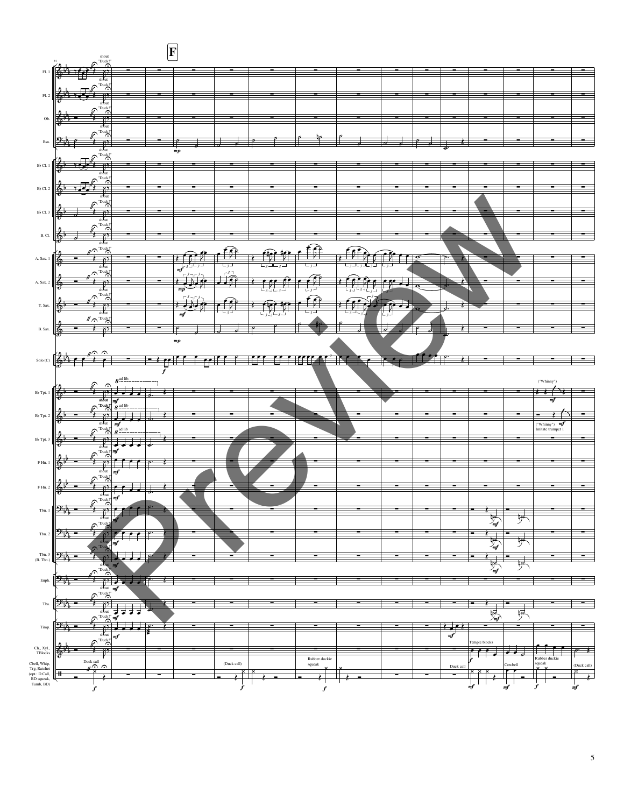

5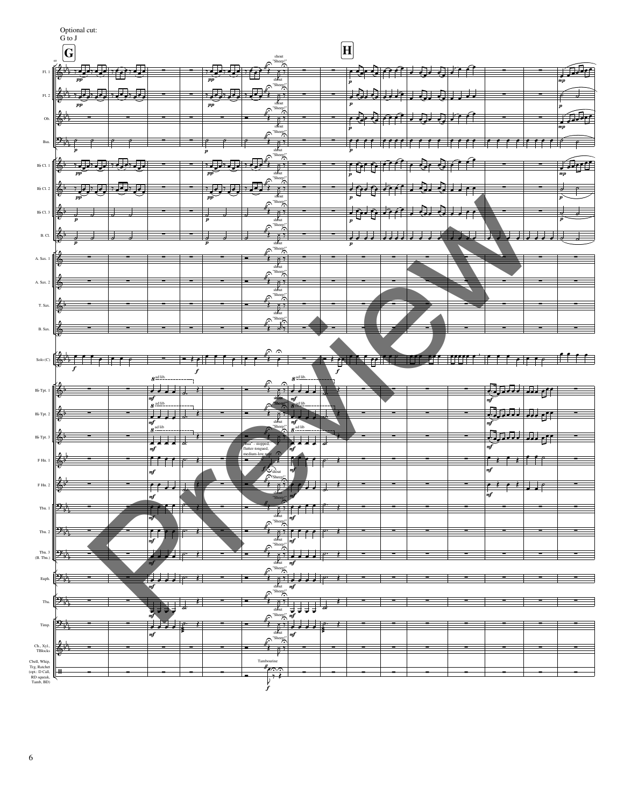

 $\sim$  6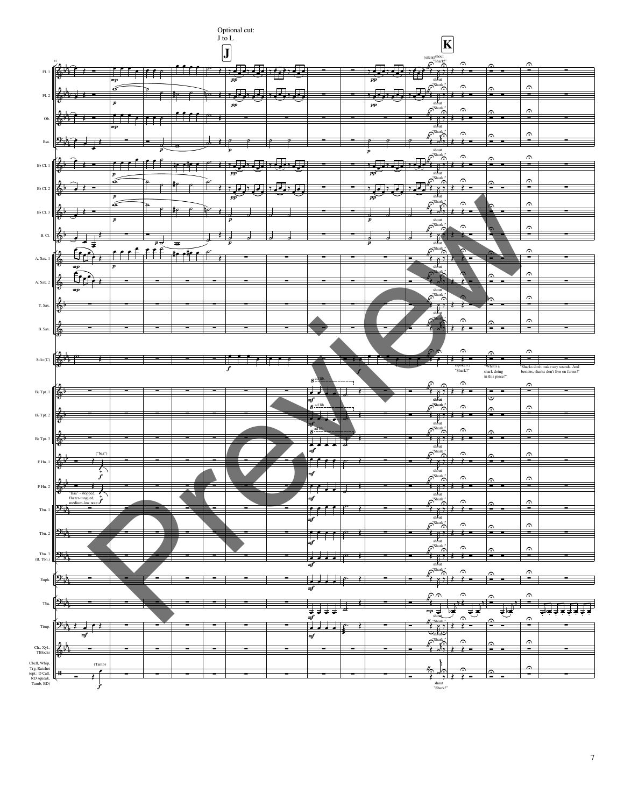

7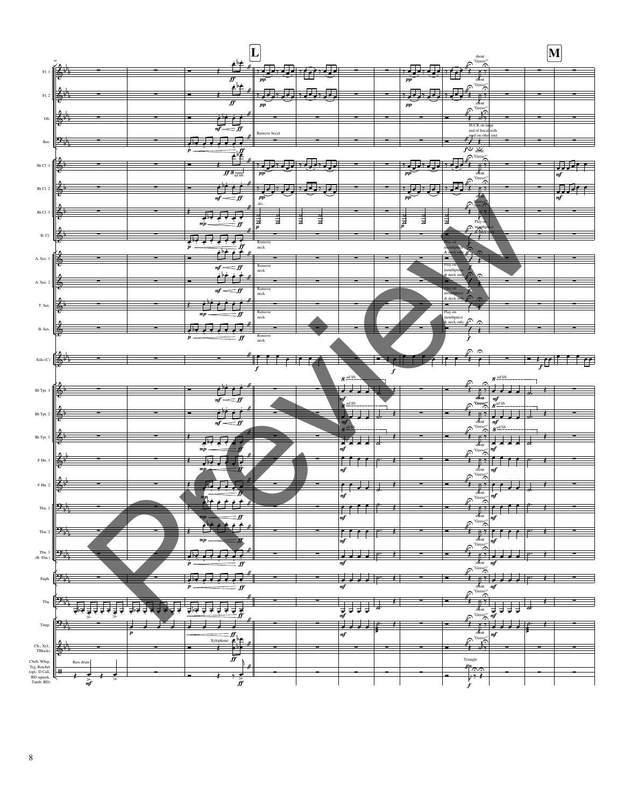| FL 1 25                                                                                                                                                                                                                                                                                                                                                   | $\frac{f^{k}f^{k}}{g^{k}} = \frac{f^{k}f^{k}}{g^{k}} = \frac{f^{k}f^{k}}{g^{k}} = \frac{f^{k}}{g^{k}} = \frac{f^{k}}{g^{k}} = \frac{f^{k}}{g^{k}} = \frac{f^{k}}{g^{k}} = \frac{f^{k}}{g^{k}} = \frac{f^{k}}{g^{k}} = \frac{f^{k}}{g^{k}} = \frac{f^{k}}{g^{k}} = \frac{f^{k}}{g^{k}} = \frac{f^{k}}{g^{k}} = \frac{f^{k}}{g^{k}} = \frac{f^{k}}{g^{k}} = \frac{f^{k}}{g^{k}} =$ |                                                                                                                                                                                                                                                                                                                                                                                                                                                                                                                                                 |                          |                                                                                                                                                                                                                                                                                           |                                       | _______________                                                                                                                                                                                                                                                                                                                                                                                                                                                                                                                                                 |              |
|-----------------------------------------------------------------------------------------------------------------------------------------------------------------------------------------------------------------------------------------------------------------------------------------------------------------------------------------------------------|----------------------------------------------------------------------------------------------------------------------------------------------------------------------------------------------------------------------------------------------------------------------------------------------------------------------------------------------------------------------------------|-------------------------------------------------------------------------------------------------------------------------------------------------------------------------------------------------------------------------------------------------------------------------------------------------------------------------------------------------------------------------------------------------------------------------------------------------------------------------------------------------------------------------------------------------|--------------------------|-------------------------------------------------------------------------------------------------------------------------------------------------------------------------------------------------------------------------------------------------------------------------------------------|---------------------------------------|-----------------------------------------------------------------------------------------------------------------------------------------------------------------------------------------------------------------------------------------------------------------------------------------------------------------------------------------------------------------------------------------------------------------------------------------------------------------------------------------------------------------------------------------------------------------|--------------|
|                                                                                                                                                                                                                                                                                                                                                           | $\overline{\phantom{a}}$                                                                                                                                                                                                                                                                                                                                                         |                                                                                                                                                                                                                                                                                                                                                                                                                                                                                                                                                 |                          | $\frac{1}{\sqrt{m}}$                                                                                                                                                                                                                                                                      |                                       |                                                                                                                                                                                                                                                                                                                                                                                                                                                                                                                                                                 |              |
|                                                                                                                                                                                                                                                                                                                                                           | $\sim$<br>$\sim$                                                                                                                                                                                                                                                                                                                                                                 |                                                                                                                                                                                                                                                                                                                                                                                                                                                                                                                                                 |                          | $\overline{\phantom{a}}$ , $\overline{a}$ , $\overline{a}$ , $\overline{a}$ , $\overline{a}$ , $\overline{a}$<br>10.0.0.0                                                                                                                                                                 |                                       |                                                                                                                                                                                                                                                                                                                                                                                                                                                                                                                                                                 |              |
|                                                                                                                                                                                                                                                                                                                                                           |                                                                                                                                                                                                                                                                                                                                                                                  |                                                                                                                                                                                                                                                                                                                                                                                                                                                                                                                                                 |                          |                                                                                                                                                                                                                                                                                           |                                       |                                                                                                                                                                                                                                                                                                                                                                                                                                                                                                                                                                 |              |
| $\frac{1}{6}$                                                                                                                                                                                                                                                                                                                                             | ____<br>—— <b>—</b>                                                                                                                                                                                                                                                                                                                                                              | يغني                                                                                                                                                                                                                                                                                                                                                                                                                                                                                                                                            |                          | <u>— 1920-</u><br>--                                                                                                                                                                                                                                                                      | $  \frac{y}{2}$ $\frac{y}{2}$         | ______________<br><b>SUCK</b> on la                                                                                                                                                                                                                                                                                                                                                                                                                                                                                                                             | $\sim$       |
|                                                                                                                                                                                                                                                                                                                                                           | <u>—</u><br>--                                                                                                                                                                                                                                                                                                                                                                   |                                                                                                                                                                                                                                                                                                                                                                                                                                                                                                                                                 | emove boca<br>--         | $\sim$<br>$\sim$<br>$\overline{\phantom{a}}$                                                                                                                                                                                                                                              |                                       | end of bocallwith<br>$\overrightarrow{p}$ $\overrightarrow{p}$ $\overrightarrow{q}$ $\overrightarrow{r}$ $\overrightarrow{r}$ $\overrightarrow{r}$ $\overrightarrow{r}$ $\overrightarrow{r}$ $\overrightarrow{r}$ $\overrightarrow{r}$ $\overrightarrow{r}$ $\overrightarrow{r}$ $\overrightarrow{r}$ $\overrightarrow{r}$ $\overrightarrow{r}$ $\overrightarrow{r}$ $\overrightarrow{r}$ $\overrightarrow{r}$ $\overrightarrow{r}$ $\overrightarrow{r}$ $\overrightarrow{r}$ $\overrightarrow{r}$ $\overrightarrow{r}$ $\overrightarrow{r}$ $\overrightarrow{$ |              |
| Bsn. $2\frac{1}{\sqrt{2}}$                                                                                                                                                                                                                                                                                                                                |                                                                                                                                                                                                                                                                                                                                                                                  | $\sqrt{2}$                                                                                                                                                                                                                                                                                                                                                                                                                                                                                                                                      |                          |                                                                                                                                                                                                                                                                                           |                                       | یں م                                                                                                                                                                                                                                                                                                                                                                                                                                                                                                                                                            |              |
| $B \triangleright$ Cl. 1 $\overrightarrow{AB}$                                                                                                                                                                                                                                                                                                            | $\sim$<br>╶<br>--                                                                                                                                                                                                                                                                                                                                                                | ▁▗▁▁▁▏                                                                                                                                                                                                                                                                                                                                                                                                                                                                                                                                          |                          | $\frac{1}{\sqrt{2}}\left \frac{1}{\sqrt{2}}\left(\frac{1}{\sqrt{2}}\right)^{\frac{1}{2}}\right \sqrt{2}\left \frac{1}{\sqrt{2}}\right \sqrt{2}\left \frac{1}{\sqrt{2}}\right $                                                                                                            |                                       | $\overline{a}$ , $\overline{a}$ , $\overline{a}$ , $\overline{a}$ , $\overline{a}$ , $\overline{a}$ , $\overline{a}$ , $\overline{a}$ , $\overline{a}$                                                                                                                                                                                                                                                                                                                                                                                                          |              |
|                                                                                                                                                                                                                                                                                                                                                           |                                                                                                                                                                                                                                                                                                                                                                                  |                                                                                                                                                                                                                                                                                                                                                                                                                                                                                                                                                 |                          |                                                                                                                                                                                                                                                                                           |                                       |                                                                                                                                                                                                                                                                                                                                                                                                                                                                                                                                                                 |              |
| $B \triangleright C1.2$                                                                                                                                                                                                                                                                                                                                   | —— <b>—</b><br>╶                                                                                                                                                                                                                                                                                                                                                                 | $\frac{1}{\sqrt{y}}$                                                                                                                                                                                                                                                                                                                                                                                                                                                                                                                            |                          | $\left  \cdot \mathcal{L} \right  \cdot \mathcal{L} \cdot \mathcal{L} = \left  \cdot \mathcal{L} \right  \cdot \mathcal{L} \cdot \mathcal{L}$                                                                                                                                             |                                       | $\blacksquare$ $\blacksquare$                                                                                                                                                                                                                                                                                                                                                                                                                                                                                                                                   |              |
|                                                                                                                                                                                                                                                                                                                                                           |                                                                                                                                                                                                                                                                                                                                                                                  |                                                                                                                                                                                                                                                                                                                                                                                                                                                                                                                                                 |                          | $\overline{\phantom{a}}$                                                                                                                                                                                                                                                                  |                                       |                                                                                                                                                                                                                                                                                                                                                                                                                                                                                                                                                                 |              |
| $B \triangleright C1.3$                                                                                                                                                                                                                                                                                                                                   | <u>—</u>                                                                                                                                                                                                                                                                                                                                                                         | ্ননেন                                                                                                                                                                                                                                                                                                                                                                                                                                                                                                                                           |                          | $\equiv$ $\equiv$                                                                                                                                                                                                                                                                         |                                       |                                                                                                                                                                                                                                                                                                                                                                                                                                                                                                                                                                 | --           |
| B.Cl. $\sqrt{A}$                                                                                                                                                                                                                                                                                                                                          | $\sim$ $\sim$<br>$\overline{\phantom{a}}$                                                                                                                                                                                                                                                                                                                                        | $mp \equiv f f$                                                                                                                                                                                                                                                                                                                                                                                                                                                                                                                                 | $\overline{\phantom{a}}$ | $\sim$ $\sim$                                                                                                                                                                                                                                                                             | $\overline{\phantom{a}}$              | $\frac{m}{\alpha}$ neck on<br>$\rightarrow$                                                                                                                                                                                                                                                                                                                                                                                                                                                                                                                     |              |
|                                                                                                                                                                                                                                                                                                                                                           |                                                                                                                                                                                                                                                                                                                                                                                  | <u>أأخاخ فتحافظ أن</u>                                                                                                                                                                                                                                                                                                                                                                                                                                                                                                                          |                          |                                                                                                                                                                                                                                                                                           |                                       |                                                                                                                                                                                                                                                                                                                                                                                                                                                                                                                                                                 |              |
| A. Sax. 1                                                                                                                                                                                                                                                                                                                                                 | $\sim$ $\sim$<br><u> 1900 - 1911 - 1911 - 1911 - 1911 - 1911 - 1911 - 1911 - 1911 - 1911 - 1911 - 1911 - 1911 - 1911 - 1911 - 19</u>                                                                                                                                                                                                                                             | $\mathbb{C}$ $\mathbb{C}$ $^*$                                                                                                                                                                                                                                                                                                                                                                                                                                                                                                                  | $\mathbf{r}$             | ————<br>$\mathbf{r}$ and $\mathbf{r}$                                                                                                                                                                                                                                                     | ---                                   | $\sqrt{1-\frac{1}{2}}$                                                                                                                                                                                                                                                                                                                                                                                                                                                                                                                                          |              |
|                                                                                                                                                                                                                                                                                                                                                           |                                                                                                                                                                                                                                                                                                                                                                                  | mf — ff<br><u>ئى ئىل</u>                                                                                                                                                                                                                                                                                                                                                                                                                                                                                                                        |                          |                                                                                                                                                                                                                                                                                           |                                       |                                                                                                                                                                                                                                                                                                                                                                                                                                                                                                                                                                 |              |
| A. Sax. 2                                                                                                                                                                                                                                                                                                                                                 | — <b>—</b><br>_____                                                                                                                                                                                                                                                                                                                                                              | mf — ff                                                                                                                                                                                                                                                                                                                                                                                                                                                                                                                                         | $\overline{\phantom{a}}$ | --                                                                                                                                                                                                                                                                                        |                                       |                                                                                                                                                                                                                                                                                                                                                                                                                                                                                                                                                                 |              |
| T. Sax. $\sqrt{2}$                                                                                                                                                                                                                                                                                                                                        | $\sim$ $\sim$<br>$\sim$                                                                                                                                                                                                                                                                                                                                                          |                                                                                                                                                                                                                                                                                                                                                                                                                                                                                                                                                 | $\sim$                   | $\mathcal{L}(\mathcal{L})$<br>$\mathbf{r}$                                                                                                                                                                                                                                                |                                       |                                                                                                                                                                                                                                                                                                                                                                                                                                                                                                                                                                 | $\mathbf{r}$ |
|                                                                                                                                                                                                                                                                                                                                                           |                                                                                                                                                                                                                                                                                                                                                                                  |                                                                                                                                                                                                                                                                                                                                                                                                                                                                                                                                                 |                          |                                                                                                                                                                                                                                                                                           |                                       |                                                                                                                                                                                                                                                                                                                                                                                                                                                                                                                                                                 |              |
| B. Sax. $\sqrt{2}$                                                                                                                                                                                                                                                                                                                                        | $\sim$                                                                                                                                                                                                                                                                                                                                                                           | $\sqrt{2}$                                                                                                                                                                                                                                                                                                                                                                                                                                                                                                                                      | $\sim$                   | <u>i gr</u><br>___<br>— <i>—</i>                                                                                                                                                                                                                                                          | neck only<br>$\overline{\phantom{a}}$ | $\frac{1}{2}$ $\frac{1}{2}$ $\frac{1}{2}$ $\frac{1}{2}$ $\frac{1}{2}$ $\frac{1}{2}$ $\frac{1}{2}$ $\frac{1}{2}$ $\frac{1}{2}$ $\frac{1}{2}$ $\frac{1}{2}$ $\frac{1}{2}$ $\frac{1}{2}$ $\frac{1}{2}$ $\frac{1}{2}$ $\frac{1}{2}$ $\frac{1}{2}$ $\frac{1}{2}$ $\frac{1}{2}$ $\frac{1}{2}$ $\frac{1}{2}$ $\frac{1}{2}$                                                                                                                                                                                                                                             |              |
|                                                                                                                                                                                                                                                                                                                                                           |                                                                                                                                                                                                                                                                                                                                                                                  | $p \longrightarrow f$                                                                                                                                                                                                                                                                                                                                                                                                                                                                                                                           | neck                     |                                                                                                                                                                                                                                                                                           |                                       |                                                                                                                                                                                                                                                                                                                                                                                                                                                                                                                                                                 |              |
| Solo (C) $\left\{ \bigotimes^{\mathbf{p}} \mathbf{b}^{\mathbf{p}} \right\}$                                                                                                                                                                                                                                                                               | $\equiv$<br>--                                                                                                                                                                                                                                                                                                                                                                   | <u> a shekara ta 1999 a shekara ta 1999 a shekara ta 1999 a shekara ta 1999 a shekara ta 1999 a shekara ta 1999 a </u>                                                                                                                                                                                                                                                                                                                                                                                                                          |                          | <u> Albert e le commune de la commune de la commune de la commune de la commune de la commune de la commune de la</u>                                                                                                                                                                     |                                       |                                                                                                                                                                                                                                                                                                                                                                                                                                                                                                                                                                 |              |
|                                                                                                                                                                                                                                                                                                                                                           |                                                                                                                                                                                                                                                                                                                                                                                  |                                                                                                                                                                                                                                                                                                                                                                                                                                                                                                                                                 |                          |                                                                                                                                                                                                                                                                                           |                                       |                                                                                                                                                                                                                                                                                                                                                                                                                                                                                                                                                                 |              |
| B Tpt. 1                                                                                                                                                                                                                                                                                                                                                  | $\sim$<br>$\mathbf{r}$ and $\mathbf{r}$                                                                                                                                                                                                                                                                                                                                          |                                                                                                                                                                                                                                                                                                                                                                                                                                                                                                                                                 | $\sim$ $\sim$            | $\frac{1}{\sqrt{2}}$                                                                                                                                                                                                                                                                      |                                       |                                                                                                                                                                                                                                                                                                                                                                                                                                                                                                                                                                 |              |
|                                                                                                                                                                                                                                                                                                                                                           |                                                                                                                                                                                                                                                                                                                                                                                  | ن فل<br>$m f \leq f f$                                                                                                                                                                                                                                                                                                                                                                                                                                                                                                                          |                          |                                                                                                                                                                                                                                                                                           |                                       |                                                                                                                                                                                                                                                                                                                                                                                                                                                                                                                                                                 |              |
| $\mathbf{B}$ Tpt. 2                                                                                                                                                                                                                                                                                                                                       | $-$<br>$-$<br>——                                                                                                                                                                                                                                                                                                                                                                 | يخاتبني                                                                                                                                                                                                                                                                                                                                                                                                                                                                                                                                         |                          |                                                                                                                                                                                                                                                                                           |                                       | $\frac{1}{2}$ , $\frac{1}{2}$ , $\frac{1}{2}$ , $\frac{1}{2}$ , $\frac{1}{2}$ , $\frac{1}{2}$ , $\frac{1}{2}$ , $\frac{1}{2}$ , $\frac{1}{2}$ , $\frac{1}{2}$ , $\frac{1}{2}$                                                                                                                                                                                                                                                                                                                                                                                   |              |
|                                                                                                                                                                                                                                                                                                                                                           |                                                                                                                                                                                                                                                                                                                                                                                  | mf — ff                                                                                                                                                                                                                                                                                                                                                                                                                                                                                                                                         |                          |                                                                                                                                                                                                                                                                                           |                                       |                                                                                                                                                                                                                                                                                                                                                                                                                                                                                                                                                                 |              |
| $\mathbf{B}$ Tpt. 3                                                                                                                                                                                                                                                                                                                                       | $-$<br><u> — 1950 — 1950 — 1950 — 1950 — 1950 — 1950 — 1950 — 1950 — 1950 — 1950 — 1950 — 1950 — 1950 — 1950 — 1950 — 19</u>                                                                                                                                                                                                                                                     | <u>का स्</u> र                                                                                                                                                                                                                                                                                                                                                                                                                                                                                                                                  |                          | $\frac{1}{2}$                                                                                                                                                                                                                                                                             |                                       |                                                                                                                                                                                                                                                                                                                                                                                                                                                                                                                                                                 |              |
|                                                                                                                                                                                                                                                                                                                                                           | $\mathbf{r}$                                                                                                                                                                                                                                                                                                                                                                     | $mp \equiv$                                                                                                                                                                                                                                                                                                                                                                                                                                                                                                                                     |                          | $\overline{\phantom{a}}$                                                                                                                                                                                                                                                                  |                                       |                                                                                                                                                                                                                                                                                                                                                                                                                                                                                                                                                                 |              |
| FHn. 1 $\sqrt{A^2}$                                                                                                                                                                                                                                                                                                                                       | $\overline{\phantom{a}}$                                                                                                                                                                                                                                                                                                                                                         | $\sqrt{2}$                                                                                                                                                                                                                                                                                                                                                                                                                                                                                                                                      |                          |                                                                                                                                                                                                                                                                                           |                                       |                                                                                                                                                                                                                                                                                                                                                                                                                                                                                                                                                                 |              |
| $F$ Hn. 2                                                                                                                                                                                                                                                                                                                                                 | <u> The Common Section of</u><br>$ -$                                                                                                                                                                                                                                                                                                                                            | <b>KILL</b>                                                                                                                                                                                                                                                                                                                                                                                                                                                                                                                                     |                          | $\frac{1}{2}$ $\frac{1}{2}$ $\frac{1}{2}$ $\frac{1}{2}$ $\frac{1}{2}$ $\frac{1}{2}$ $\frac{1}{2}$ $\frac{1}{2}$ $\frac{1}{2}$ $\frac{1}{2}$ $\frac{1}{2}$ $\frac{1}{2}$ $\frac{1}{2}$ $\frac{1}{2}$ $\frac{1}{2}$                                                                         |                                       |                                                                                                                                                                                                                                                                                                                                                                                                                                                                                                                                                                 |              |
|                                                                                                                                                                                                                                                                                                                                                           |                                                                                                                                                                                                                                                                                                                                                                                  |                                                                                                                                                                                                                                                                                                                                                                                                                                                                                                                                                 |                          |                                                                                                                                                                                                                                                                                           |                                       |                                                                                                                                                                                                                                                                                                                                                                                                                                                                                                                                                                 |              |
| $T_{\text{bn.1}}$ $2\frac{1}{7}$                                                                                                                                                                                                                                                                                                                          | $\equiv$                                                                                                                                                                                                                                                                                                                                                                         | $\mathbb{C}$ if if $\mathbb{Z}$                                                                                                                                                                                                                                                                                                                                                                                                                                                                                                                 |                          | $\frac{1}{2}$ , $\frac{1}{2}$ , $\frac{1}{2}$ , $\frac{1}{2}$ , $\frac{1}{2}$ , $\frac{1}{2}$ , $\frac{1}{2}$ , $\frac{1}{2}$ , $\frac{1}{2}$ , $\frac{1}{2}$ , $\frac{1}{2}$ , $\frac{1}{2}$ , $\frac{1}{2}$ , $\frac{1}{2}$ , $\frac{1}{2}$ , $\frac{1}{2}$<br>$\overline{\phantom{a}}$ |                                       |                                                                                                                                                                                                                                                                                                                                                                                                                                                                                                                                                                 |              |
|                                                                                                                                                                                                                                                                                                                                                           |                                                                                                                                                                                                                                                                                                                                                                                  | $\longrightarrow f$                                                                                                                                                                                                                                                                                                                                                                                                                                                                                                                             |                          |                                                                                                                                                                                                                                                                                           |                                       |                                                                                                                                                                                                                                                                                                                                                                                                                                                                                                                                                                 |              |
| Tbn. 2 $2\frac{1}{2}$                                                                                                                                                                                                                                                                                                                                     | <u>та на т</u><br>$mp$ —                                                                                                                                                                                                                                                                                                                                                         | —<br>—                                                                                                                                                                                                                                                                                                                                                                                                                                                                                                                                          | $\overline{\phantom{a}}$ | <u>-</u>  {{ }{ }}{ }}{}}{{}}{}}{{ }{ }}{}}{}}{}                                                                                                                                                                                                                                          |                                       |                                                                                                                                                                                                                                                                                                                                                                                                                                                                                                                                                                 |              |
| Tbn. 3 $\boxed{2+1}$                                                                                                                                                                                                                                                                                                                                      |                                                                                                                                                                                                                                                                                                                                                                                  |                                                                                                                                                                                                                                                                                                                                                                                                                                                                                                                                                 | $\overline{\phantom{a}}$ | $\frac{1}{2}$<br>▜▆▓▀▀                                                                                                                                                                                                                                                                    |                                       |                                                                                                                                                                                                                                                                                                                                                                                                                                                                                                                                                                 |              |
|                                                                                                                                                                                                                                                                                                                                                           |                                                                                                                                                                                                                                                                                                                                                                                  | $\sum_{p}$                                                                                                                                                                                                                                                                                                                                                                                                                                                                                                                                      |                          |                                                                                                                                                                                                                                                                                           |                                       |                                                                                                                                                                                                                                                                                                                                                                                                                                                                                                                                                                 |              |
| Euph. $2\frac{1}{2}$                                                                                                                                                                                                                                                                                                                                      | --                                                                                                                                                                                                                                                                                                                                                                               | $\begin{array}{c} \begin{array}{c} \hline \text{else} \end{array} & \begin{array}{c} \text{else} \end{array} & \begin{array}{c} \text{else} \end{array} & \begin{array}{c} \text{else} \end{array} & \begin{array}{c} \text{else} \end{array} & \begin{array}{c} \text{else} \end{array} & \begin{array}{c} \text{else} \end{array} & \begin{array}{c} \text{else} \end{array} & \begin{array}{c} \text{else} \end{array} & \begin{array}{c} \text{else} \end{array} & \begin{array}{c} \text{else} \end{array} & \begin{array}{c} \text{else}$ |                          | $\frac{1}{2}$<br>$\overline{\phantom{a}}$                                                                                                                                                                                                                                                 |                                       |                                                                                                                                                                                                                                                                                                                                                                                                                                                                                                                                                                 |              |
|                                                                                                                                                                                                                                                                                                                                                           |                                                                                                                                                                                                                                                                                                                                                                                  |                                                                                                                                                                                                                                                                                                                                                                                                                                                                                                                                                 |                          |                                                                                                                                                                                                                                                                                           |                                       |                                                                                                                                                                                                                                                                                                                                                                                                                                                                                                                                                                 |              |
|                                                                                                                                                                                                                                                                                                                                                           | $\begin{picture}(130,10) \put(0,0){\line(1,0){155}} \put(15,0){\line(1,0){155}} \put(15,0){\line(1,0){155}} \put(15,0){\line(1,0){155}} \put(15,0){\line(1,0){155}} \put(15,0){\line(1,0){155}} \put(15,0){\line(1,0){155}} \put(15,0){\line(1,0){155}} \put(15,0){\line(1,0){155}} \put(15,0){\line(1,0){155}} \put(15,0){\line(1,0){155}}$                                     |                                                                                                                                                                                                                                                                                                                                                                                                                                                                                                                                                 |                          | $\sim$<br>チチチチ                                                                                                                                                                                                                                                                            |                                       |                                                                                                                                                                                                                                                                                                                                                                                                                                                                                                                                                                 |              |
|                                                                                                                                                                                                                                                                                                                                                           |                                                                                                                                                                                                                                                                                                                                                                                  |                                                                                                                                                                                                                                                                                                                                                                                                                                                                                                                                                 | --                       | $\overline{\phantom{a}}$                                                                                                                                                                                                                                                                  | $\overline{\phantom{a}}$              |                                                                                                                                                                                                                                                                                                                                                                                                                                                                                                                                                                 |              |
| $\begin{picture}(2,4) \put(0,0){\line(1,0){10}} \put(1,0){\line(1,0){10}} \put(1,0){\line(1,0){10}} \put(1,0){\line(1,0){10}} \put(1,0){\line(1,0){10}} \put(1,0){\line(1,0){10}} \put(1,0){\line(1,0){10}} \put(1,0){\line(1,0){10}} \put(1,0){\line(1,0){10}} \put(1,0){\line(1,0){10}} \put(1,0){\line(1,0){10}} \put(1,0){\line(1,0){10}} \put(1,0){$ | $\overline{a}$ , $\overline{a}$ , $\overline{a}$ , $\overline{a}$ , $\overline{a}$                                                                                                                                                                                                                                                                                               |                                                                                                                                                                                                                                                                                                                                                                                                                                                                                                                                                 |                          | $\left  \bullet \bullet \bullet \bullet \right _{\xi}$                                                                                                                                                                                                                                    |                                       | $\frac{1}{2}$ $\frac{1}{2}$ $\frac{1}{2}$ $\frac{1}{2}$ $\frac{1}{2}$ $\frac{1}{2}$ $\frac{1}{2}$ $\frac{1}{2}$ $\frac{1}{2}$ $\frac{1}{2}$ $\frac{1}{2}$ $\frac{1}{2}$ $\frac{1}{2}$ $\frac{1}{2}$ $\frac{1}{2}$ $\frac{1}{2}$ $\frac{1}{2}$ $\frac{1}{2}$ $\frac{1}{2}$ $\frac{1}{2}$ $\frac{1}{2}$ $\frac{1}{2}$                                                                                                                                                                                                                                             |              |
| $\Gamma_{\text{Blocks}}$                                                                                                                                                                                                                                                                                                                                  | $ -$<br>$ -$                                                                                                                                                                                                                                                                                                                                                                     | Xylophone $\mathbb{Z}^p$<br>$\left  \cdot \right $ $\left  \cdot \right $                                                                                                                                                                                                                                                                                                                                                                                                                                                                       | $\overline{\phantom{a}}$ | _______________<br><u>— — —</u>                                                                                                                                                                                                                                                           | $  \frac{1}{2}$ $\frac{1}{2}$         |                                                                                                                                                                                                                                                                                                                                                                                                                                                                                                                                                                 |              |
| Cbell, Whip,                                                                                                                                                                                                                                                                                                                                              | Bass drum                                                                                                                                                                                                                                                                                                                                                                        |                                                                                                                                                                                                                                                                                                                                                                                                                                                                                                                                                 |                          |                                                                                                                                                                                                                                                                                           |                                       | Triangle                                                                                                                                                                                                                                                                                                                                                                                                                                                                                                                                                        |              |
| Trg, Ratchet<br>(opt.: D Call,<br>RD squeak,                                                                                                                                                                                                                                                                                                              | <del>▁▗▕▟▕▖▟▕▏▁▁▝▁▁▁▕</del> ▃                                                                                                                                                                                                                                                                                                                                                    |                                                                                                                                                                                                                                                                                                                                                                                                                                                                                                                                                 |                          |                                                                                                                                                                                                                                                                                           | + <del>-</del>                        |                                                                                                                                                                                                                                                                                                                                                                                                                                                                                                                                                                 |              |
|                                                                                                                                                                                                                                                                                                                                                           |                                                                                                                                                                                                                                                                                                                                                                                  |                                                                                                                                                                                                                                                                                                                                                                                                                                                                                                                                                 |                          |                                                                                                                                                                                                                                                                                           |                                       |                                                                                                                                                                                                                                                                                                                                                                                                                                                                                                                                                                 |              |